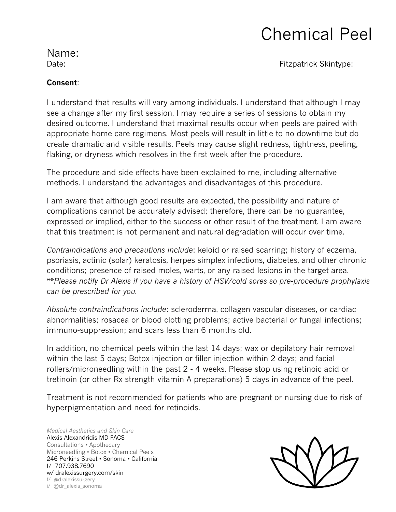## Chemical Peel

Name:

Date: External of the Contract of the Contract of the Fitzpatrick Skintype:

## **Consent**:

I understand that results will vary among individuals. I understand that although I may see a change after my first session, I may require a series of sessions to obtain my desired outcome. I understand that maximal results occur when peels are paired with appropriate home care regimens. Most peels will result in little to no downtime but do create dramatic and visible results. Peels may cause slight redness, tightness, peeling, flaking, or dryness which resolves in the first week after the procedure.

The procedure and side effects have been explained to me, including alternative methods. I understand the advantages and disadvantages of this procedure.

I am aware that although good results are expected, the possibility and nature of complications cannot be accurately advised; therefore, there can be no guarantee, expressed or implied, either to the success or other result of the treatment. I am aware that this treatment is not permanent and natural degradation will occur over time.

*Contraindications and precautions include*: keloid or raised scarring; history of eczema, psoriasis, actinic (solar) keratosis, herpes simplex infections, diabetes, and other chronic conditions; presence of raised moles, warts, or any raised lesions in the target area. \*\**Please notify Dr Alexis if you have a history of HSV/cold sores so pre-procedure prophylaxis can be prescribed for you.*

*Absolute contraindications include*: scleroderma, collagen vascular diseases, or cardiac abnormalities; rosacea or blood clotting problems; active bacterial or fungal infections; immuno-suppression; and scars less than 6 months old.

In addition, no chemical peels within the last 14 days; wax or depilatory hair removal within the last 5 days; Botox injection or filler injection within 2 days; and facial rollers/microneedling within the past 2 - 4 weeks. Please stop using retinoic acid or tretinoin (or other Rx strength vitamin A preparations) 5 days in advance of the peel.

Treatment is not recommended for patients who are pregnant or nursing due to risk of hyperpigmentation and need for retinoids.

*Medical Aesthetics and Skin Care* Alexis Alexandridis MD FACS Consultations • Apothecary Microneedling • Botox • Chemical Peels 246 Perkins Street • Sonoma • California t/ 707.938.7690 w/ dralexissurgery.com/skin f/ @dralexissurgery i/ @dr\_alexis\_sonoma